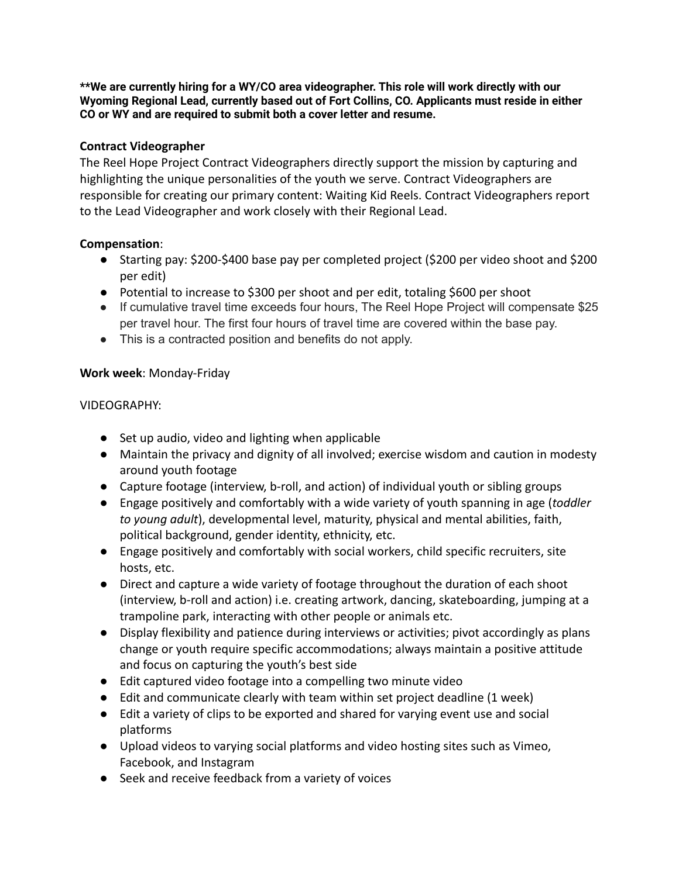**\*\*We are currently hiring for a WY/CO area videographer. This role will work directly with our Wyoming Regional Lead, currently based out of Fort Collins, CO. Applicants must reside in either CO or WY and are required to submit both a cover letter and resume.**

# **Contract Videographer**

The Reel Hope Project Contract Videographers directly support the mission by capturing and highlighting the unique personalities of the youth we serve. Contract Videographers are responsible for creating our primary content: Waiting Kid Reels. Contract Videographers report to the Lead Videographer and work closely with their Regional Lead.

### **Compensation**:

- Starting pay: \$200-\$400 base pay per completed project (\$200 per video shoot and \$200 per edit)
- Potential to increase to \$300 per shoot and per edit, totaling \$600 per shoot
- If cumulative travel time exceeds four hours, The Reel Hope Project will compensate \$25 per travel hour. The first four hours of travel time are covered within the base pay.
- This is a contracted position and benefits do not apply.

### **Work week**: Monday-Friday

### VIDEOGRAPHY:

- Set up audio, video and lighting when applicable
- Maintain the privacy and dignity of all involved; exercise wisdom and caution in modesty around youth footage
- Capture footage (interview, b-roll, and action) of individual youth or sibling groups
- Engage positively and comfortably with a wide variety of youth spanning in age (*toddler to young adult*), developmental level, maturity, physical and mental abilities, faith, political background, gender identity, ethnicity, etc.
- Engage positively and comfortably with social workers, child specific recruiters, site hosts, etc.
- Direct and capture a wide variety of footage throughout the duration of each shoot (interview, b-roll and action) i.e. creating artwork, dancing, skateboarding, jumping at a trampoline park, interacting with other people or animals etc.
- Display flexibility and patience during interviews or activities; pivot accordingly as plans change or youth require specific accommodations; always maintain a positive attitude and focus on capturing the youth's best side
- Edit captured video footage into a compelling two minute video
- Edit and communicate clearly with team within set project deadline (1 week)
- Edit a variety of clips to be exported and shared for varying event use and social platforms
- Upload videos to varying social platforms and video hosting sites such as Vimeo, Facebook, and Instagram
- Seek and receive feedback from a variety of voices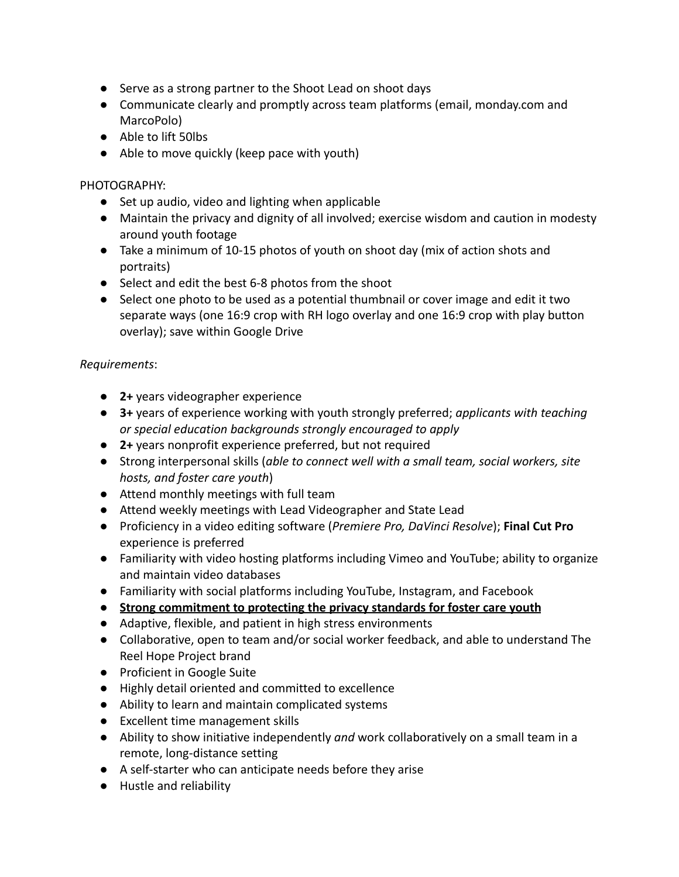- Serve as a strong partner to the Shoot Lead on shoot days
- Communicate clearly and promptly across team platforms (email, monday.com and MarcoPolo)
- Able to lift 50lbs
- Able to move quickly (keep pace with youth)

## PHOTOGRAPHY:

- Set up audio, video and lighting when applicable
- Maintain the privacy and dignity of all involved; exercise wisdom and caution in modesty around youth footage
- Take a minimum of 10-15 photos of youth on shoot day (mix of action shots and portraits)
- Select and edit the best 6-8 photos from the shoot
- Select one photo to be used as a potential thumbnail or cover image and edit it two separate ways (one 16:9 crop with RH logo overlay and one 16:9 crop with play button overlay); save within Google Drive

### *Requirements*:

- **2+** years videographer experience
- **3+** years of experience working with youth strongly preferred; *applicants with teaching or special education backgrounds strongly encouraged to apply*
- **2+** years nonprofit experience preferred, but not required
- Strong interpersonal skills (*able to connect well with a small team, social workers, site hosts, and foster care youth*)
- Attend monthly meetings with full team
- Attend weekly meetings with Lead Videographer and State Lead
- Proficiency in a video editing software (*Premiere Pro, DaVinci Resolve*); **Final Cut Pro** experience is preferred
- Familiarity with video hosting platforms including Vimeo and YouTube; ability to organize and maintain video databases
- Familiarity with social platforms including YouTube, Instagram, and Facebook
- **● Strong commitment to protecting the privacy standards for foster care youth**
- Adaptive, flexible, and patient in high stress environments
- Collaborative, open to team and/or social worker feedback, and able to understand The Reel Hope Project brand
- Proficient in Google Suite
- Highly detail oriented and committed to excellence
- Ability to learn and maintain complicated systems
- Excellent time management skills
- Ability to show initiative independently *and* work collaboratively on a small team in a remote, long-distance setting
- A self-starter who can anticipate needs before they arise
- Hustle and reliability